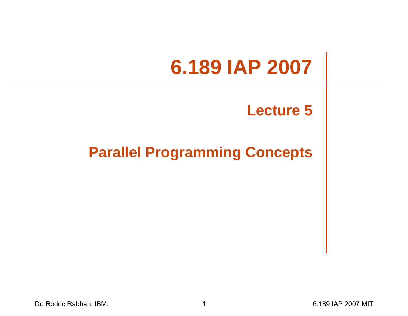# **6.189 IAP 2007**

#### **Lecture 5**

#### **Parallel Programming Concepts**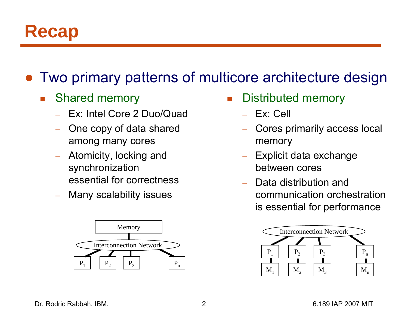#### **Recap**

#### ●Two primary patterns of multicore architecture design

- $\mathcal{L}^{\text{max}}_{\text{max}}$  Shared memory
	- Ex: Intel Core 2 Duo/Quad
	- One copy of data shared among many cores
	- Atomicity, locking and synchronization essential for correctness
	- Many scalability issues



- F Distributed memory
	- Ex: Cell
	- Cores primarily access local memory
	- – Explicit data exchange between cores
	- Data distribution and communication orchestration is essential for performance

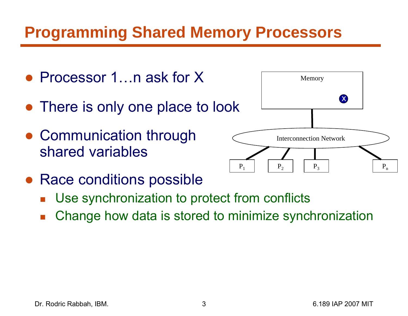#### **Programming Shared Memory Processors**

● Processor 1…n ask for X  $\bullet$  There is only one place to look • Communication through shared variablesMemory



- Race conditions possible
	- $\overline{\mathbb{R}}$ Use synchronization to protect from conflicts
	- $\overline{\mathbb{R}}$ Change how data is stored to minimize synchronization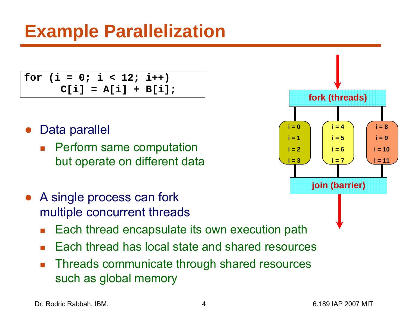**for (i = 0; i < 12; i++) C[i] = A[i] + B[i];**

- $\bullet$  Data parallel
	- F Perform same computation but operate on different data
- A single process can fork multiple concurrent threads
	- $\overline{\phantom{a}}$ Each thread encapsulate its own execution path
	- F Each thread has local state and shared resources
	- $\overline{\phantom{a}}$  Threads communicate through shared resources such as global memory

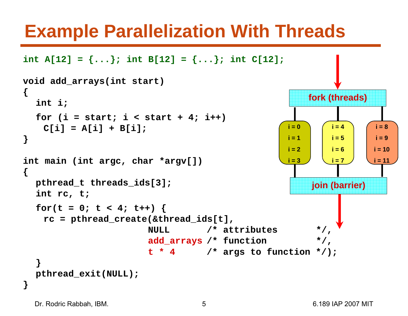#### **Example Parallelization With Threads**

```
int A[12] = {...}; int <b>B[12] = {...}; int C[12];
void add_arrays(int start)
{
  int i;
  for (i = start; i < start + 4; i++)
   C[i] = A[i] + B[i];
}
int main (int argc, char *argv[])
{
  pthread_t threads_ids[3];
  int rc, t;
  for(t = 0; t < 4; t++) {
    rc = pthread_create(&thread_ids[t], 
                        NULL /* attributes */, 
                        add_arrays /* function */, 
                         t * 4 /* args to function */);
  }
  pthread_exit(NULL);
}
                                                         join (barrier)
                                                    i = 0i = 1i = 2i = 3i = 4i = 5i = 6i = 7i = 8i = 9i = 10i = 11fork (threads)
```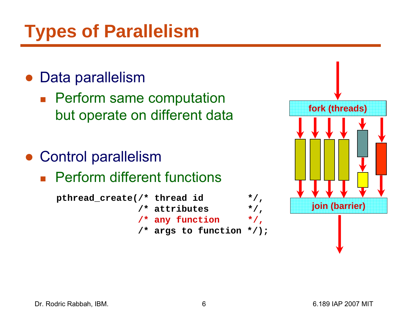## **Types of Parallelism**

#### ● Data parallelism

- **Perform same computation** but operate on different data
- $\bullet$  Control parallelism
	- **Perform different functions**



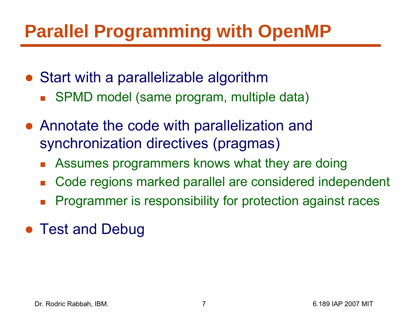## **Parallel Programming with OpenMP**

- Start with a parallelizable algorithm
	- $\overline{\mathbb{R}}$ SPMD model (same program, multiple data)
- Annotate the code with parallelization and synchronization directives (pragmas)
	- $\overline{\mathbb{R}}$ Assumes programmers knows what they are doing
	- $\mathbb{R}^2$ Code regions marked parallel are considered independent
	- b. Programmer is responsibility for protection against races
- Test and Debug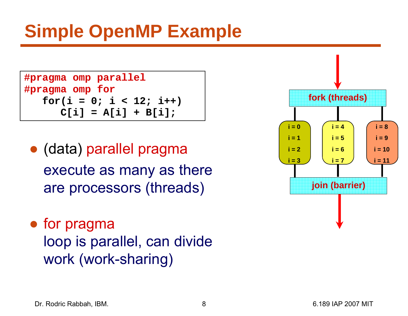```
#pragma omp parallel
#pragma omp for
   for(i = 0; i < 12; i++) 
      C[i] = A[i] + B[i];
```
- (data) parallel pragma execute as many as there are processors (threads)
- for pragma loop is parallel, can divide work (work-sharing)

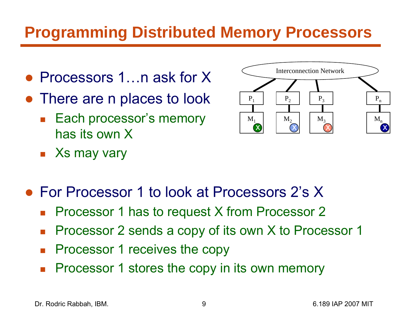#### **Programming Distributed Memory Processors**

- Processors 1…n ask for X
- There are n places to look
	- $\mathcal{L}^{\text{max}}$  Each processor's memory has its own X
	- Xs may vary



- For Processor 1 to look at Processors 2's X
	- $\mathcal{L}_{\mathcal{A}}$ Processor 1 has to request X from Processor 2
	- $\mathcal{L}_{\mathcal{A}}$ Processor 2 sends a copy of its own X to Processor 1
	- $\mathcal{L}_{\mathcal{A}}$ Processor 1 receives the copy
	- $\overline{\mathcal{A}}$ Processor 1 stores the copy in its own memory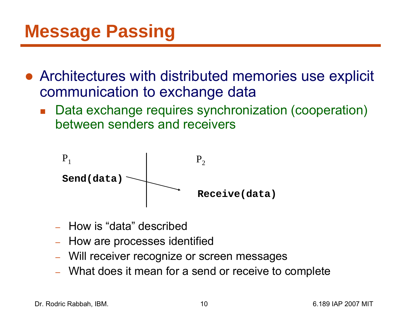## **Message Passing**

- Architectures with distributed memories use explicit communication to exchange data
	- $\overline{\mathbb{R}}$  Data exchange requires synchronization (cooperation) between senders and receivers



- How is "data" described
- –– How are processes identified
- –Will receiver recognize or screen messages
- What does it mean for a send or receive to complete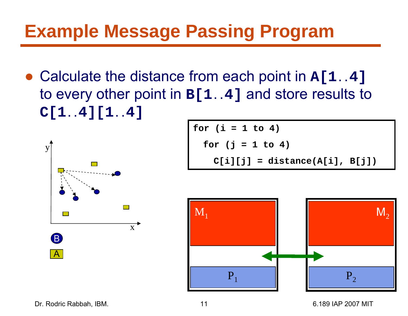● Calculate the distance from each point in **A[1..4]** to every other point in **B[1..4]** and store results to **C[1..4][1..4]**



for (i = 1 to 4)  
for (j = 1 to 4)  

$$
C[i][j] = distance(A[i], B[j])
$$



Dr. Rodric Rabbah, IBM. 11 6.189 IAP 2007 MIT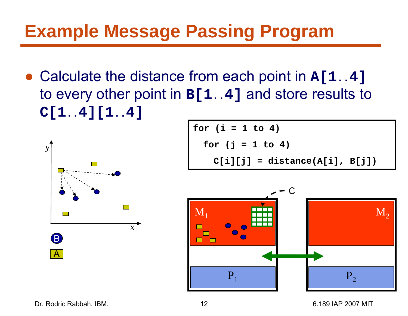● Calculate the distance from each point in **A[1..4]** to every other point in **B[1..4]** and store results to **C[1..4][1..4]**



**for (i = 1 to 4) for (j = 1 to 4) C[i][j] = distance(A[i], B[j])**



Dr. Rodric Rabbah, IBM. 12 6.189 IAP 2007 MIT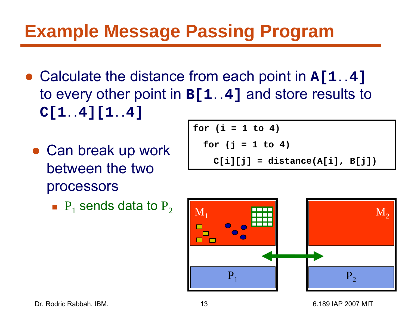- Calculate the distance from each point in **A[1..4]** to every other point in **B[1..4]** and store results to **C[1..4][1..4]**
	- Can break up work between the two processors
		- $\blacksquare$   $\mathsf{P}_1$  sends data to  $\mathsf{P}_2$

$$
for (i = 1 to 4)
$$
  
for (j = 1 to 4)  

$$
C[i][j] = distance(A[i], B[j])
$$

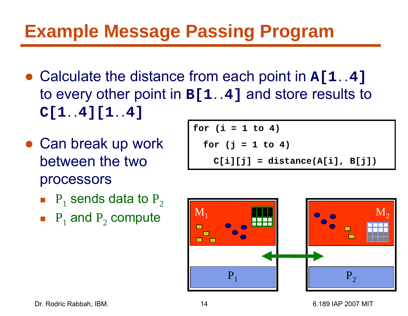- Calculate the distance from each point in **A[1..4]** to every other point in **B[1..4]** and store results to **C[1..4][1..4]**
- Can break up work between the two processors
	- $\blacksquare$   $\mathsf{P}_1$  sends data to  $\mathsf{P}_2$
	- $\blacksquare$  P<sub>1</sub> and P<sub>2</sub> compute

$$
for (i = 1 to 4)
$$
  
for (j = 1 to 4)  
C[i][j] = distance(A[i], B[j])

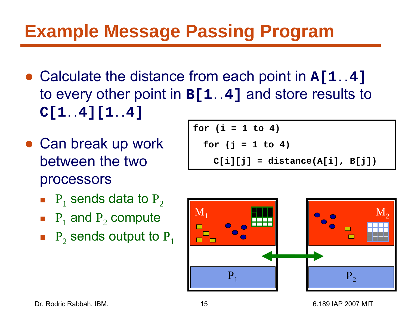- Calculate the distance from each point in **A[1..4]** to every other point in **B[1..4]** and store results to **C[1..4][1..4]**
- Can break up work between the two processors
	- $\blacksquare$   $\mathsf{P}_1$  sends data to  $\mathsf{P}_2$
	- $\blacksquare$  P<sub>1</sub> and P<sub>2</sub> compute
	- $\blacksquare$   $\mathsf{P}_2$  sends output to  $\mathsf{P}_1$

$$
for (i = 1 to 4)
$$
  
for (j = 1 to 4)  

$$
C[i][j] = distance(A[i], B[j])
$$

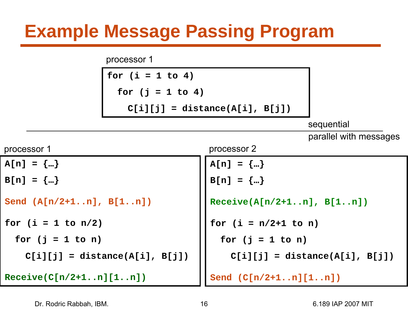processor 1

|                                  | for $(i = 1 to 4)$               |                             |                                  |  |
|----------------------------------|----------------------------------|-----------------------------|----------------------------------|--|
|                                  | for $(j = 1 to 4)$               |                             |                                  |  |
|                                  | $C[i][j] = distance(A[i], B[j])$ |                             |                                  |  |
|                                  |                                  |                             | sequential                       |  |
|                                  |                                  |                             | parallel with messages           |  |
| processor 1                      |                                  | processor 2                 |                                  |  |
| $A[n] = \{\}$                    |                                  | $A[n] = \{\}$               |                                  |  |
| $B[n] = \{\}$                    |                                  | $B[n] = \{\}$               |                                  |  |
| Send $(A[n/2+1n], B[1n])$        |                                  | $Receive(A[n/2+1n], B[1n])$ |                                  |  |
| for $(i = 1 to n/2)$             |                                  | for $(i = n/2+1$ to n)      |                                  |  |
| for $(j = 1$ to n)               |                                  | for $(j = 1$ to n)          |                                  |  |
| $C[i][j] = distance(A[i], B[j])$ |                                  |                             | $C[i][j] = distance(A[i], B[j])$ |  |
| $Receive(C[n/2+1n][1n])$         |                                  | Send $(C[n/2+1n][1n])$      |                                  |  |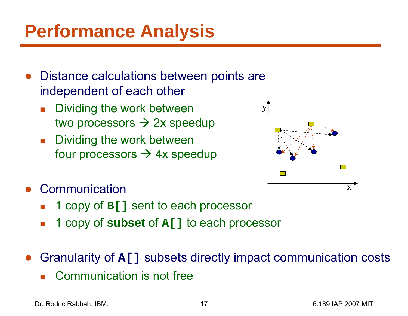## **Performance Analysis**

- $\bullet$  Distance calculations between points are independent of each other
	- F Dividing the work between two processors → 2x speedup
	- $\mathcal{L}_{\text{max}}$  Dividing the work between four processors  $\rightarrow$  4x speedup



- ● Communication
	- F 1 copy of **B[]** sent to each processor
	- F. 1 copy of **subset** of **A[]** to each processor
- ● Granularity of **A[]** subsets directly impact communication costs
	- F Communication is not free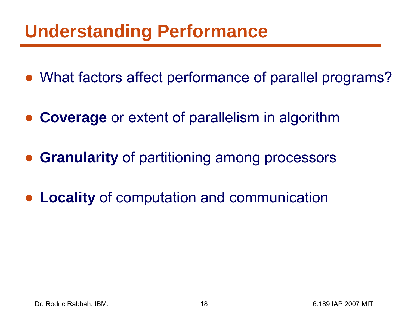### **Understanding Performance**

- What factors affect performance of parallel programs?
- $\bullet$ **Coverage** or extent of parallelism in algorithm
- ●**Granularity** of partitioning among processors
- ●**Locality** of computation and communication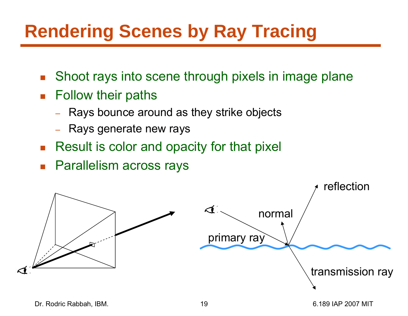# **Rendering Scenes by Ray Tracing**

- $\mathcal{L}_{\mathcal{A}}$ Shoot rays into scene through pixels in image plane
- $\mathcal{L}_{\mathcal{A}}$  Follow their paths
	- –Rays bounce around as they strike objects
	- Rays generate new rays
- b. Result is color and opacity for that pixel
- b. Parallelism across rays

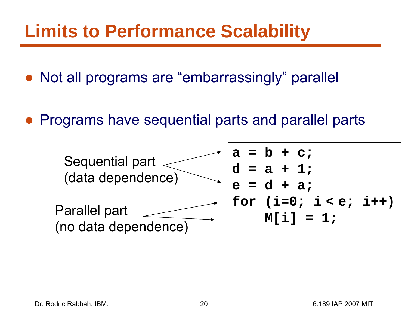#### **Limits to Performance Scalability**

- Not all programs are "embarrassingly" parallel
- ●Programs have sequential parts and parallel parts

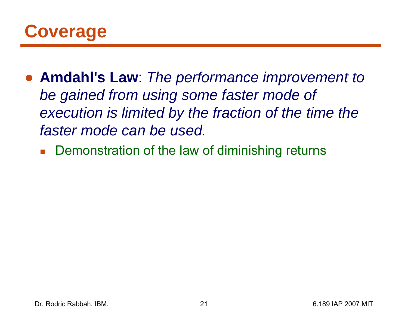

- ● **Amdahl's Law**: *The performance improvement to be gained from using some faster mode of execution is limited by the fraction of the time the faster mode can be used.*
	- **Demonstration of the law of diminishing returns**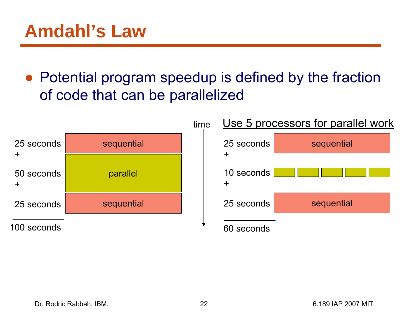• Potential program speedup is defined by the fraction of code that can be parallelized



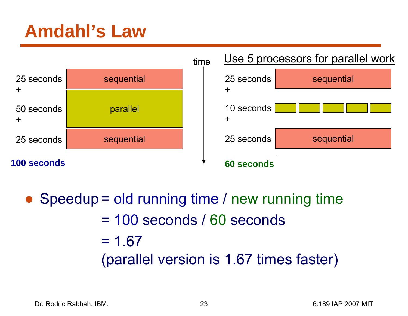### **Amdahl's Law**



 $\bullet$  Speedup = old running time / new running time = 100 seconds / 60 seconds  $= 1.67$ (parallel version is 1.67 times faster)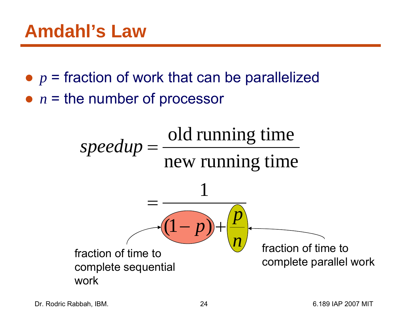- $\bullet$   $p$  = fraction of work that can be parallelized
- *n* = the number of processor

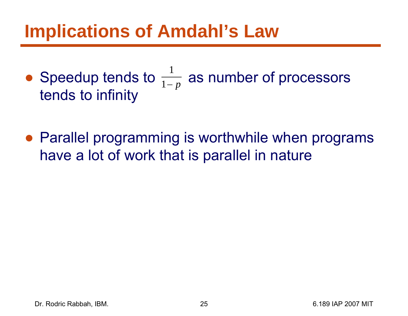#### **Implications of Amdahl's Law**

- Speedup tends to  $\frac{1}{1-p}$  as number of processors tends to infinity 1
- Parallel programming is worthwhile when programs have a lot of work that is parallel in nature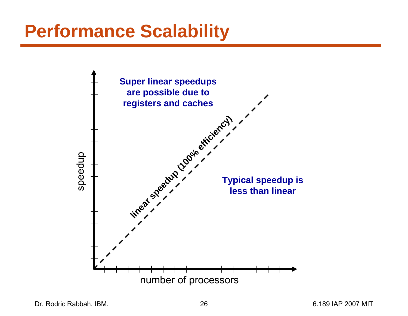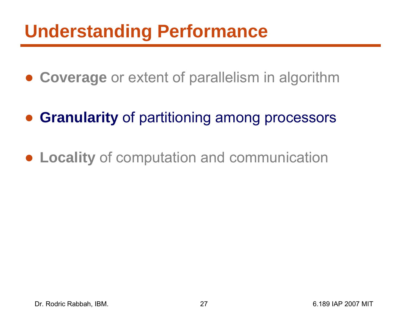## **Understanding Performance**

- **Coverage** or extent of parallelism in algorithm
- $\bullet$ **Granularity** of partitioning among processors
- **Locality** of computation and communication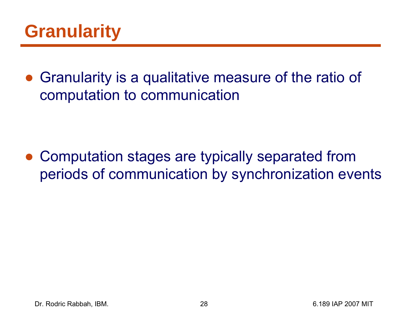### **Granularity**

● Granularity is a qualitative measure of the ratio of computation to communication

● Computation stages are typically separated from periods of communication by synchronization events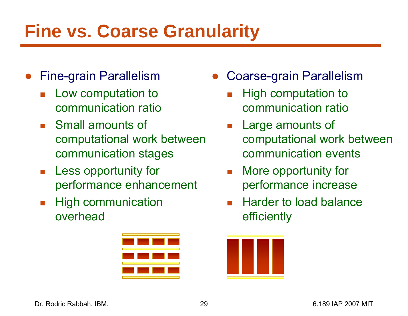## **Fine vs. Coarse Granularity**

- $\bullet$  Fine-grain Parallelism
	- $\mathcal{L}_{\mathcal{A}}$  Low computation to communication ratio
	- $\mathcal{L}^{\text{max}}_{\text{max}}$  Small amounts of computational work between communication stages
	- $\mathcal{L}_{\text{max}}$  Less opportunity for performance enhancement
	- $\mathcal{C}^{\mathcal{A}}$  High communication overhead



- $\bullet$  Coarse-grain Parallelism
	- F. High computation to communication ratio
	- $\mathcal{L}_{\mathcal{A}}$  Large amounts of computational work between communication events
	- $\| \cdot \|$  More opportunity for performance increase
	- F Harder to load balance efficiently

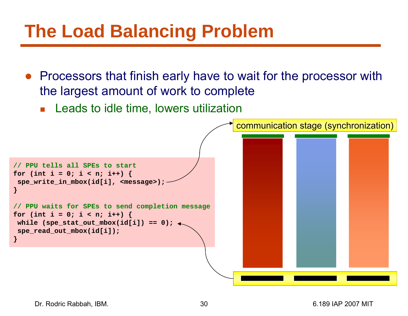## **The Load Balancing Problem**

- Processors that finish early have to wait for the processor with the largest amount of work to complete
	- **Leads to idle time, lowers utilization**

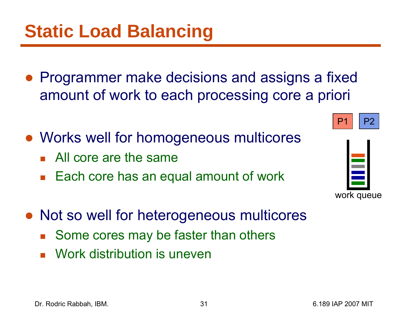- ● Programmer make decisions and assigns a fixed amount of work to each processing core a priori
- Works well for homogeneous multicores
	- **All core are the same**
	- $\overline{\mathbb{R}}$ Each core has an equal amount of work
- Not so well for heterogeneous multicores
	- $\mathbb{R}^2$ Some cores may be faster than others
	- b. Work distribution is uneven



P2

P1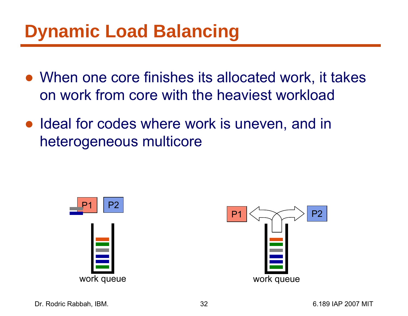## **Dynamic Load Balancing**

- When one core finishes its allocated work, it takes on work from core with the heaviest workload
- Ideal for codes where work is uneven, and in heterogeneous multicore



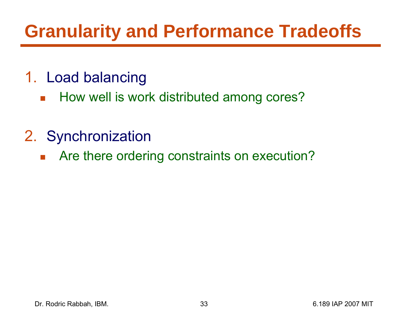## **Granularity and Performance Tradeoffs**

- 1. Load balancing
	- $\mathcal{L}^{\text{max}}_{\text{max}}$ How well is work distributed among cores?
- 2. Synchronization
	- $\mathcal{L}_{\mathcal{A}}$ Are there ordering constraints on execution?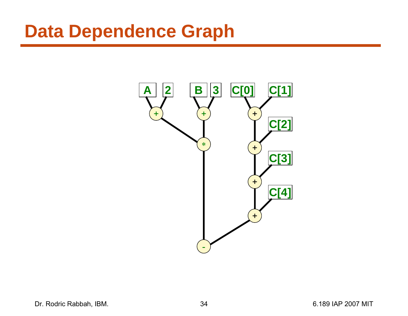#### **Data Dependence Graph**



Dr. Rodric Rabbah, IBM. (2007) 34 6.189 IAP 2007 MIT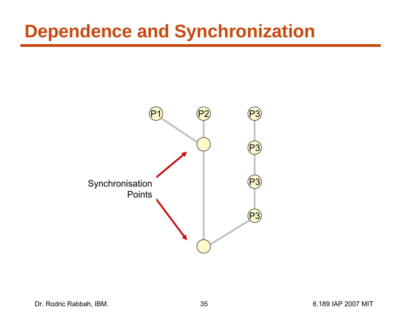#### **Dependence and Synchronization**

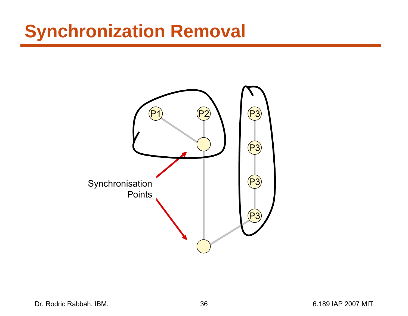### **Synchronization Removal**

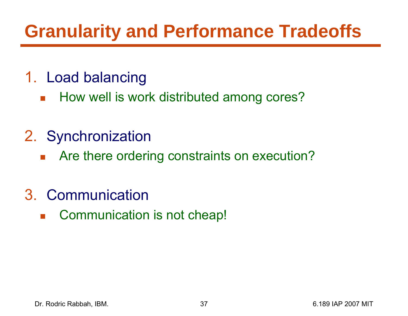## **Granularity and Performance Tradeoffs**

- 1. Load balancing
	- $\mathcal{L}(\mathcal{A})$ How well is work distributed among cores?
- 2. Synchronization
	- $\mathcal{L}^{\mathcal{L}}$ Are there ordering constraints on execution?
- 3. Communication
	- $\mathcal{L}^{\mathcal{L}}$ Communication is not cheap!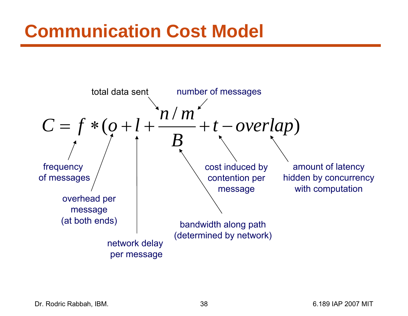## **Communication Cost Model**



Dr. Rodric Rabbah, IBM. 6.189 IAP 2007 MIT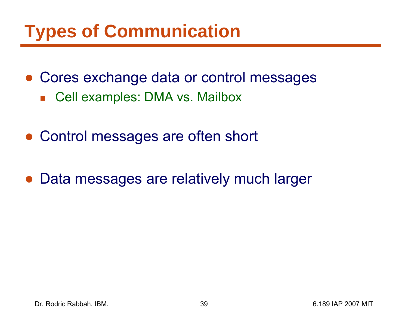## **Types of Communication**

- Cores exchange data or control messages
	- Cell examples: DMA vs. Mailbox
- Control messages are often short
- $\bullet$ Data messages are relatively much larger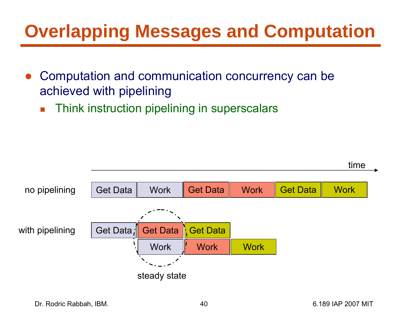## **Overlapping Messages and Computation**

- $\bullet$  Computation and communication concurrency can be achieved with pipelining
	- F Think instruction pipelining in superscalars

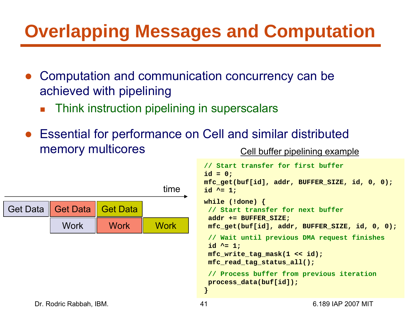## **Overlapping Messages and Computation**

- $\bullet$  Computation and communication concurrency can be achieved with pipelining
	- F Think instruction pipelining in superscalars
- Essential for performance on Cell and similar distributed memory multicores



#### Cell buffer pipelining example

```
// Start transfer for first buffer
id = 0;
mfc_get(buf[id], addr, BUFFER_SIZE, id, 0, 0);
id ^= 1;
while (!done) {
 // Start transfer for next buffer
 addr += BUFFER_SIZE;
 mfc_get(buf[id], addr, BUFFER_SIZE, id, 0, 0);
 // Wait until previous DMA request finishes
 id ^= 1;
 mfc_write_tag_mask(1 << id);
 mfc_read_tag_status_all();
 // Process buffer from previous iteration
 process_data(buf[id]);
}
```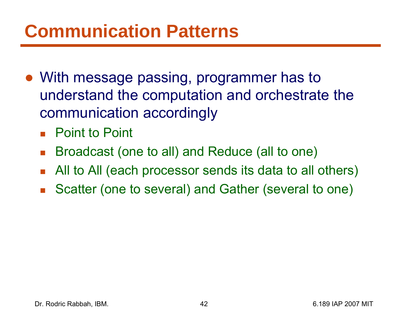## **Communication Patterns**

- With message passing, programmer has to understand the computation and orchestrate the communication accordingly
	- Point to Point
	- $\mathcal{L}_{\mathcal{A}}$ Broadcast (one to all) and Reduce (all to one)
	- $\mathcal{L}(\mathcal{A})$ All to All (each processor sends its data to all others)
	- $\overline{\mathbb{R}}$ Scatter (one to several) and Gather (several to one)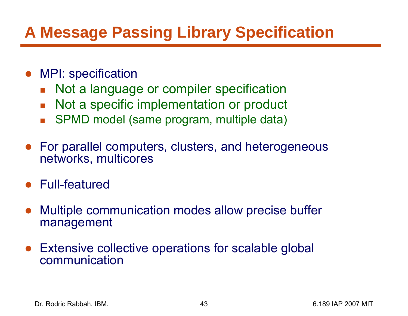#### **A Message Passing Library Specification**

- ● MPI: specification
	- **Not a language or compiler specification**
	- $\mathbb{R}^2$ Not a specific implementation or product
	- $\mathcal{L}_{\mathcal{A}}$ SPMD model (same program, multiple data)
- ● For parallel computers, clusters, and heterogeneous networks, multicores
- Full-featured
- $\bullet$  Multiple communication modes allow precise buffer management
- $\bullet$  Extensive collective operations for scalable global communication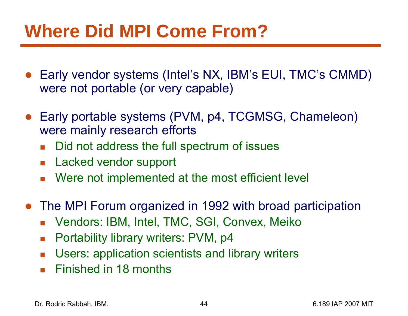## **Where Did MPI Come From?**

- ● Early vendor systems (Intel's NX, IBM's EUI, TMC's CMMD) were not portable (or very capable)
- $\bullet$  Early portable systems (PVM, p4, TCGMSG, Chameleon) were mainly research efforts
	- $\overline{\mathbb{R}^n}$ Did not address the full spectrum of issues
	- **Lacked vendor support**
	- **Nere not implemented at the most efficient level**
- $\bullet$  The MPI Forum organized in 1992 with broad participation
	- $\overline{\phantom{a}}$ Vendors: IBM, Intel, TMC, SGI, Convex, Meiko
	- $\mathbb{R}^3$ Portability library writers: PVM, p4
	- $\mathcal{L}^{\mathcal{L}}$ Users: application scientists and library writers
	- **Finished in 18 months**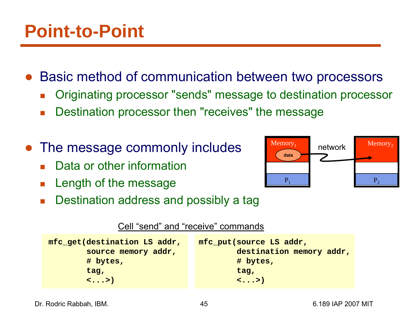●Basic method of communication between two processors

- F. Originating processor "sends" message to destination processor
- $\mathcal{L}_{\mathcal{A}}$ Destination processor then "receives" the message
- ● The message commonly includes
	- F Data or other information
	- $\mathcal{C}^{\mathcal{A}}$ Length of the message



F. Destination address and possibly a tag

#### Cell "send" and "receive" commands

| mfc put (source LS addr,<br>destination memory addr, |
|------------------------------------------------------|
| # bytes,                                             |
| tag,                                                 |
| $\langle \ldots \rangle$                             |
|                                                      |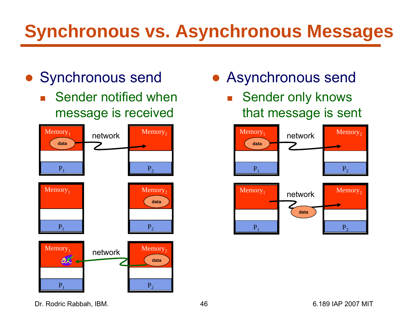## **Synchronous vs. Asynchronous Messages**

- Synchronous send
	- $\overline{\mathbb{R}}$  Sender notified when message is received



- Asynchronous send
	- $\overline{\phantom{a}}$  Sender only knows that message is sent



Dr. Rodric Rabbah, IBM. 46 6.189 IAP 2007 MIT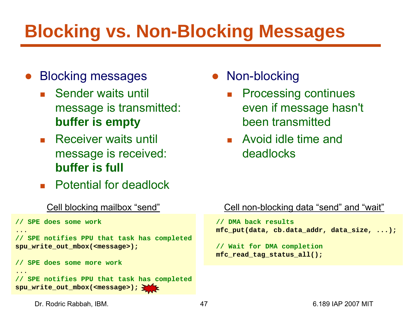## **Blocking vs. Non-Blocking Messages**

- $\bullet$  Blocking messages
	- **Sender waits until** message is transmitted: **buffer is empty**
	- F. Receiver waits until message is received: **buffer is full**
	- **Potential for deadlock**

#### Cell blocking mailbox "send"

```
// SPE does some work
...// SPE notifies PPU that task has completed
spu_write_out_mbox(<message>);
// SPE does some more work
...// SPE notifies PPU that task has completed
spu_write_out_mbox(<message>);
```
- $\bullet$  Non-blocking
	- F. Processing continues even if message hasn't been transmitted
	- **Avoid idle time and** deadlocks

#### Cell non-blocking data "send" and "wait"

```
// DMA back results
mfc_put(data, cb.data_addr, data_size, ...);
```

```
// Wait for DMA completion
mfc_read_tag_status_all();
```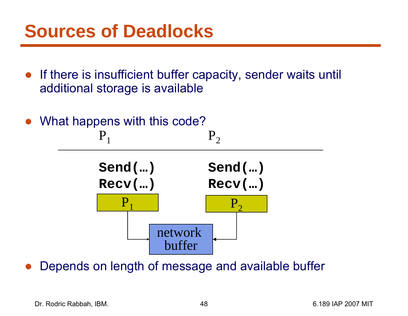#### **Sources of Deadlocks**

- If there is insufficient buffer capacity, sender waits until additional storage is available
- ●What happens with this code?



●Depends on length of message and available buffer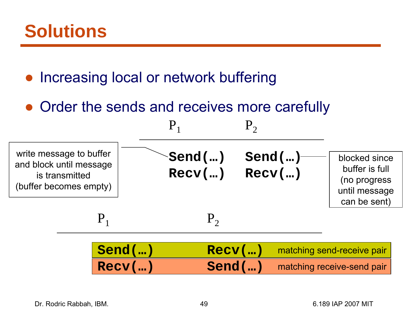●Increasing local or network buffering

• Order the sends and receives more carefully

| write message to buffer<br>and block until message<br>is transmitted<br>(buffer becomes empty) |                          | $\mathsf{Send}(\mathsf{})$<br>$Recv$ () | Send()<br>$Recv$ () | blocked since<br>buffer is full<br>(no progress<br>until message<br>can be sent) |
|------------------------------------------------------------------------------------------------|--------------------------|-----------------------------------------|---------------------|----------------------------------------------------------------------------------|
|                                                                                                | ${\bf P}$                | $P_{2}$                                 |                     |                                                                                  |
|                                                                                                | $Send$ $()$<br>$Recv$ () |                                         | $Recv$ ()<br>Send() | matching send-receive pair<br>matching receive-send pair                         |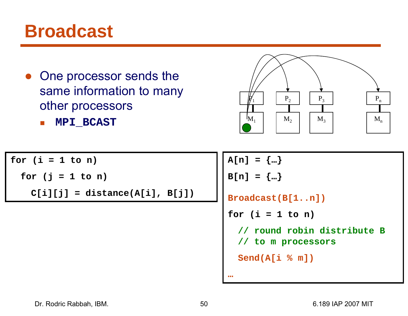#### **Broadcast**

- $\bullet$  One processor sends the same information to many other processors
	- b. **MPI\_BCAST**

 ${P\hskip-2.5pt \bar{\hskip-1.2pt}\hskip-1.3pt}$  $P_1$  | P<sub>2</sub> | | P<sub>3</sub> | | P<sub>n</sub>  $M_1$  $\mathbf{M}_1$  |  $\mathbf{M}_2$  |  $\mathbf{M}_3$  |  $\mathbf{M}_n$ 

**for (i = 1 to n) for (j = 1 to n) C[i][j] = distance(A[i], B[j])** **A[n] = {…} B[n] = {…} Broadcast(B[1..n]) for (i = 1 to n) // round robin distribute B // to m processors Send(A[i % m]) …**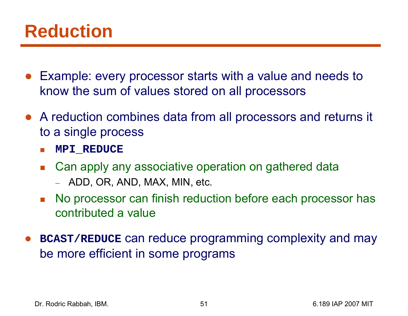#### **Reduction**

- $\bullet$  Example: every processor starts with a value and needs to know the sum of values stored on all processors
- A reduction combines data from all processors and returns it to a single process
	- Π **MPI\_REDUCE**
	- $\mathcal{L}^{\mathcal{A}}$  Can apply any associative operation on gathered data
		- ADD, OR, AND, MAX, MIN, etc.
	- F No processor can finish reduction before each processor has contributed a value
- ● **BCAST/REDUCE** can reduce programming complexity and may be more efficient in some programs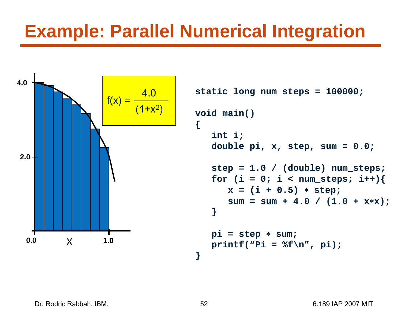#### **Example: Parallel Numerical Integration**



```
static long num_steps = 100000; 
void main()
   double pi, x, step, sum = 0.0;
   step = 1.0 / (double) num_steps;
   for (i = 0; i < num steps; i++) {
      x = (i + 0.5) 
∗ step;
      sum = sum + 4.0 / (1.0 + x
∗x);
   pi = step 
∗ sum;
   print('Pi = %f\n', pi);
```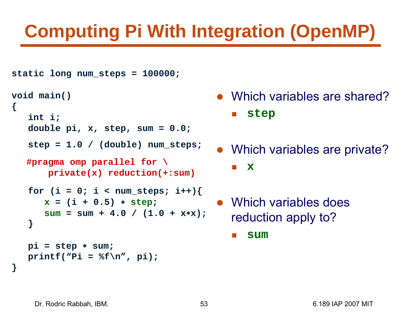# **Computing Pi With Integration (OpenMP)**

```
static long num_steps = 100000; 
void main()
{
   int i;
   double pi, x, step, sum = 0.0;
   step = 1.0 / (double) num_steps;
   for (i = 0; i < num steps; i++) {
      x = (i + 0.5) 
∗ step
;
      sum = sum + 4.0 / (1.0 + x
∗x);
   }
   pi = step 
∗ sum;
   print(f("Pi = %f\n', pi));}
   #pragma omp parallel for \
       private(x) reduction(+:sum)
```
- Which variables are shared? a se **step**
- Which variables are private? H **x**
- Which variables does reduction apply to?
	- Π **sum**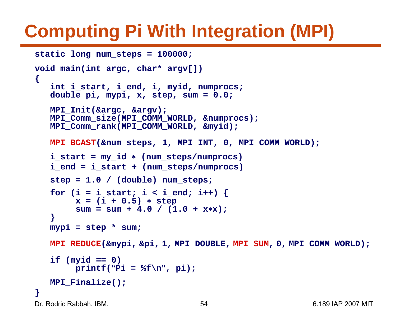# **Computing Pi With Integration (MPI)**

```
Dr. Rodric Rabbah, IBM. 6.189 IAP 2007 MIT
static long num_steps = 100000; 
void main(int argc, char* argv[])
{
   int i_start, i_end, i, myid, numprocs;
   double pi, mypi, x, step, sum = 0.0;
  MPI_Init(&argc, &argv);
  MPI_Comm_size(MPI_COMM_WORLD, &numprocs);
  MPI_Comm_rank(MPI_COMM_WORLD, &myid);
  MPI_BCAST(&num_steps, 1, MPI_INT, 0, MPI_COMM_WORLD);
   i_start = my_id
∗ (num_steps/numprocs)
   i_end = i_start + (num_steps/numprocs)
   step = 1.0 / (double) num_steps;
   for (i = i_stat; i < i_end; i++) {
        x = (i + 0.5) 
∗ step
        sum = sum + 4.0 / (1.0 + x
∗x);
   }
  mypi = step * sum;
  MPI_REDUCE(&mypi, &pi, 1, MPI_DOUBLE, MPI_SUM, 0, MPI_COMM_WORLD);
   if (myid == 0)
        printf(
"Pi = %f\n
", pi);
  MPI_Finalize();
}
```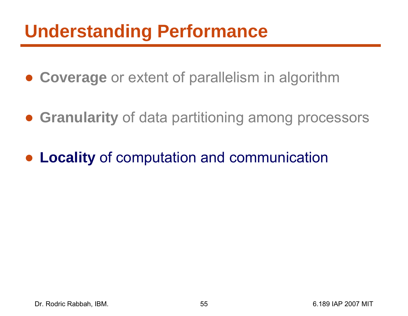## **Understanding Performance**

- **Coverage** or extent of parallelism in algorithm
- **Granularity** of data partitioning among processors
- ●**Locality** of computation and communication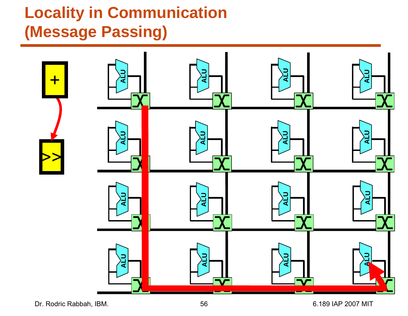#### **Locality in Communication (Message Passing)**



Dr. Rodric Rabbah, IBM. 6.189 IAP 2007 MIT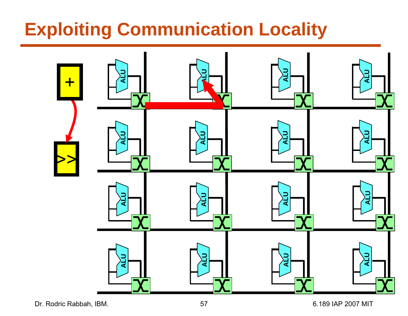## **Exploiting Communication Locality**

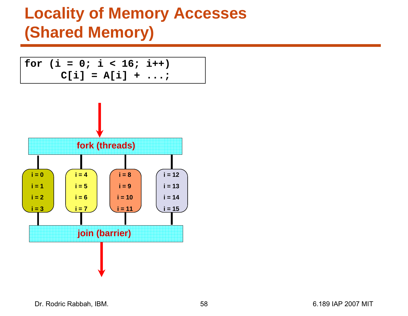$$
\begin{vmatrix}\nfor (i = 0; i < 16; i++) \\
C[i] = A[i] + ...;\n\end{vmatrix}
$$



Dr. Rodric Rabbah, IBM. 6.189 IAP 2007 MIT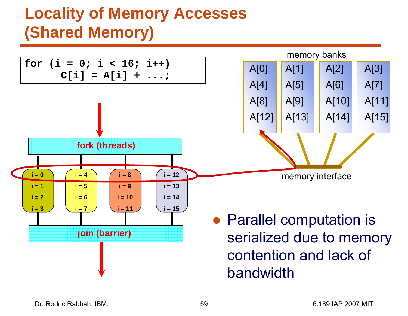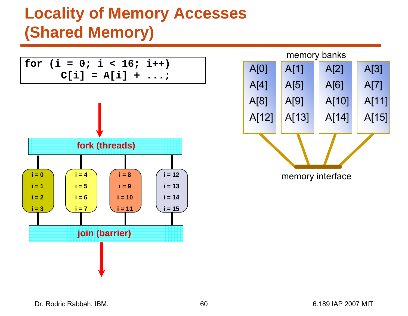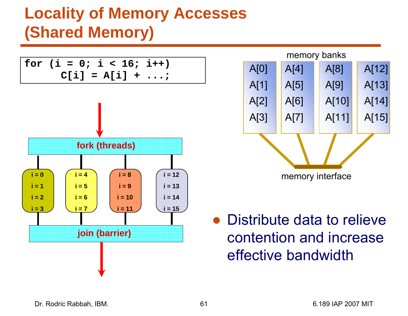



● Distribute data to relieve contention and increase effective bandwidth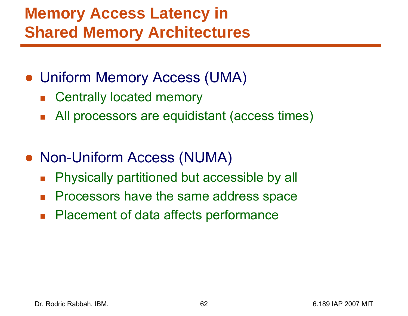#### **Memory Access Latency in Shared Memory Architectures**

- Uniform Memory Access (UMA)
	- $\overline{\mathbb{R}}$ Centrally located memory
	- $\mathcal{L}_{\mathcal{A}}$ All processors are equidistant (access times)
- Non-Uniform Access (NUMA)
	- $\mathcal{L}_{\mathcal{A}}$ Physically partitioned but accessible by all
	- $\mathcal{L}_{\mathcal{A}}$ Processors have the same address space
	- $\mathcal{L}_{\mathcal{A}}$ Placement of data affects performance